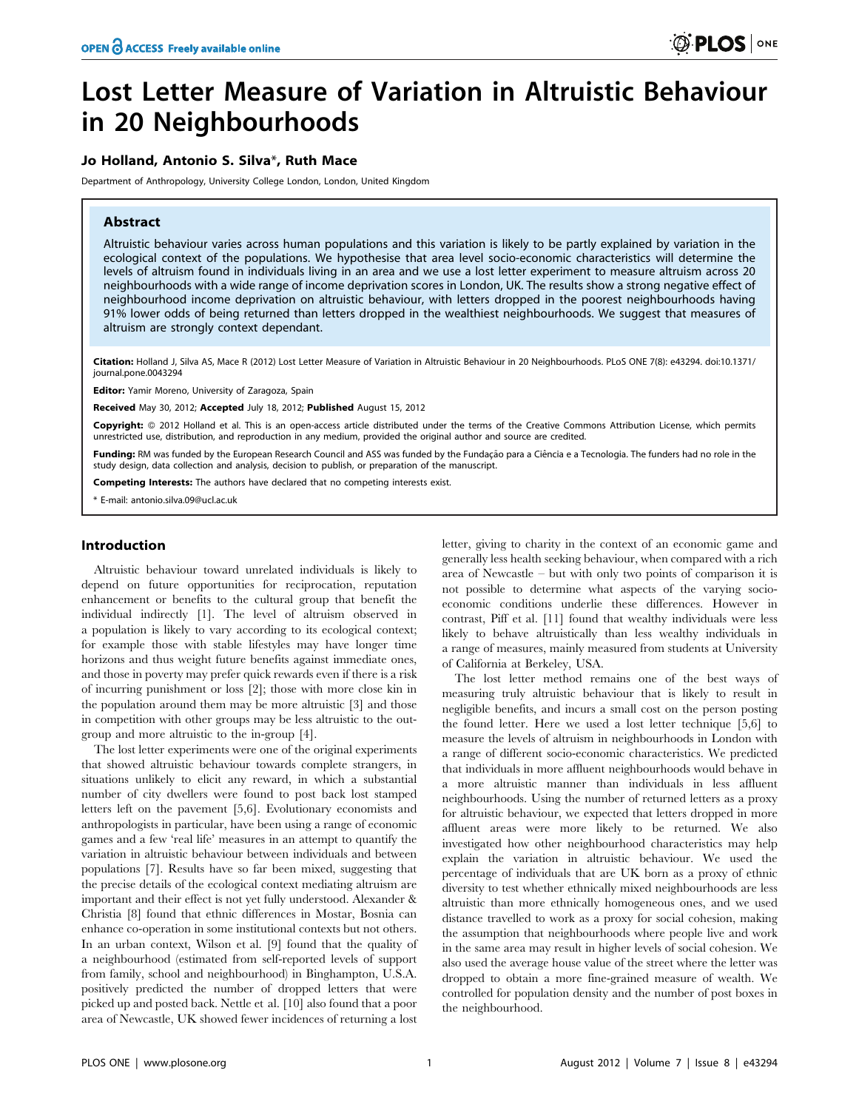# Lost Letter Measure of Variation in Altruistic Behaviour in 20 Neighbourhoods

# Jo Holland, Antonio S. Silva\*, Ruth Mace

Department of Anthropology, University College London, London, United Kingdom

#### Abstract

Altruistic behaviour varies across human populations and this variation is likely to be partly explained by variation in the ecological context of the populations. We hypothesise that area level socio-economic characteristics will determine the levels of altruism found in individuals living in an area and we use a lost letter experiment to measure altruism across 20 neighbourhoods with a wide range of income deprivation scores in London, UK. The results show a strong negative effect of neighbourhood income deprivation on altruistic behaviour, with letters dropped in the poorest neighbourhoods having 91% lower odds of being returned than letters dropped in the wealthiest neighbourhoods. We suggest that measures of altruism are strongly context dependant.

Citation: Holland J, Silva AS, Mace R (2012) Lost Letter Measure of Variation in Altruistic Behaviour in 20 Neighbourhoods. PLoS ONE 7(8): e43294. doi:10.1371/ journal.pone.0043294

Editor: Yamir Moreno, University of Zaragoza, Spain

Received May 30, 2012; Accepted July 18, 2012; Published August 15, 2012

Copyright: @ 2012 Holland et al. This is an open-access article distributed under the terms of the Creative Commons Attribution License, which permits unrestricted use, distribution, and reproduction in any medium, provided the original author and source are credited.

Funding: RM was funded by the European Research Council and ASS was funded by the Fundação para a Ciência e a Tecnologia. The funders had no role in the study design, data collection and analysis, decision to publish, or preparation of the manuscript.

Competing Interests: The authors have declared that no competing interests exist.

\* E-mail: antonio.silva.09@ucl.ac.uk

# Introduction

Altruistic behaviour toward unrelated individuals is likely to depend on future opportunities for reciprocation, reputation enhancement or benefits to the cultural group that benefit the individual indirectly [1]. The level of altruism observed in a population is likely to vary according to its ecological context; for example those with stable lifestyles may have longer time horizons and thus weight future benefits against immediate ones, and those in poverty may prefer quick rewards even if there is a risk of incurring punishment or loss [2]; those with more close kin in the population around them may be more altruistic [3] and those in competition with other groups may be less altruistic to the outgroup and more altruistic to the in-group [4].

The lost letter experiments were one of the original experiments that showed altruistic behaviour towards complete strangers, in situations unlikely to elicit any reward, in which a substantial number of city dwellers were found to post back lost stamped letters left on the pavement [5,6]. Evolutionary economists and anthropologists in particular, have been using a range of economic games and a few 'real life' measures in an attempt to quantify the variation in altruistic behaviour between individuals and between populations [7]. Results have so far been mixed, suggesting that the precise details of the ecological context mediating altruism are important and their effect is not yet fully understood. Alexander & Christia [8] found that ethnic differences in Mostar, Bosnia can enhance co-operation in some institutional contexts but not others. In an urban context, Wilson et al. [9] found that the quality of a neighbourhood (estimated from self-reported levels of support from family, school and neighbourhood) in Binghampton, U.S.A. positively predicted the number of dropped letters that were picked up and posted back. Nettle et al. [10] also found that a poor area of Newcastle, UK showed fewer incidences of returning a lost

letter, giving to charity in the context of an economic game and generally less health seeking behaviour, when compared with a rich area of Newcastle – but with only two points of comparison it is not possible to determine what aspects of the varying socioeconomic conditions underlie these differences. However in contrast, Piff et al. [11] found that wealthy individuals were less likely to behave altruistically than less wealthy individuals in a range of measures, mainly measured from students at University of California at Berkeley, USA.

The lost letter method remains one of the best ways of measuring truly altruistic behaviour that is likely to result in negligible benefits, and incurs a small cost on the person posting the found letter. Here we used a lost letter technique [5,6] to measure the levels of altruism in neighbourhoods in London with a range of different socio-economic characteristics. We predicted that individuals in more affluent neighbourhoods would behave in a more altruistic manner than individuals in less affluent neighbourhoods. Using the number of returned letters as a proxy for altruistic behaviour, we expected that letters dropped in more affluent areas were more likely to be returned. We also investigated how other neighbourhood characteristics may help explain the variation in altruistic behaviour. We used the percentage of individuals that are UK born as a proxy of ethnic diversity to test whether ethnically mixed neighbourhoods are less altruistic than more ethnically homogeneous ones, and we used distance travelled to work as a proxy for social cohesion, making the assumption that neighbourhoods where people live and work in the same area may result in higher levels of social cohesion. We also used the average house value of the street where the letter was dropped to obtain a more fine-grained measure of wealth. We controlled for population density and the number of post boxes in the neighbourhood.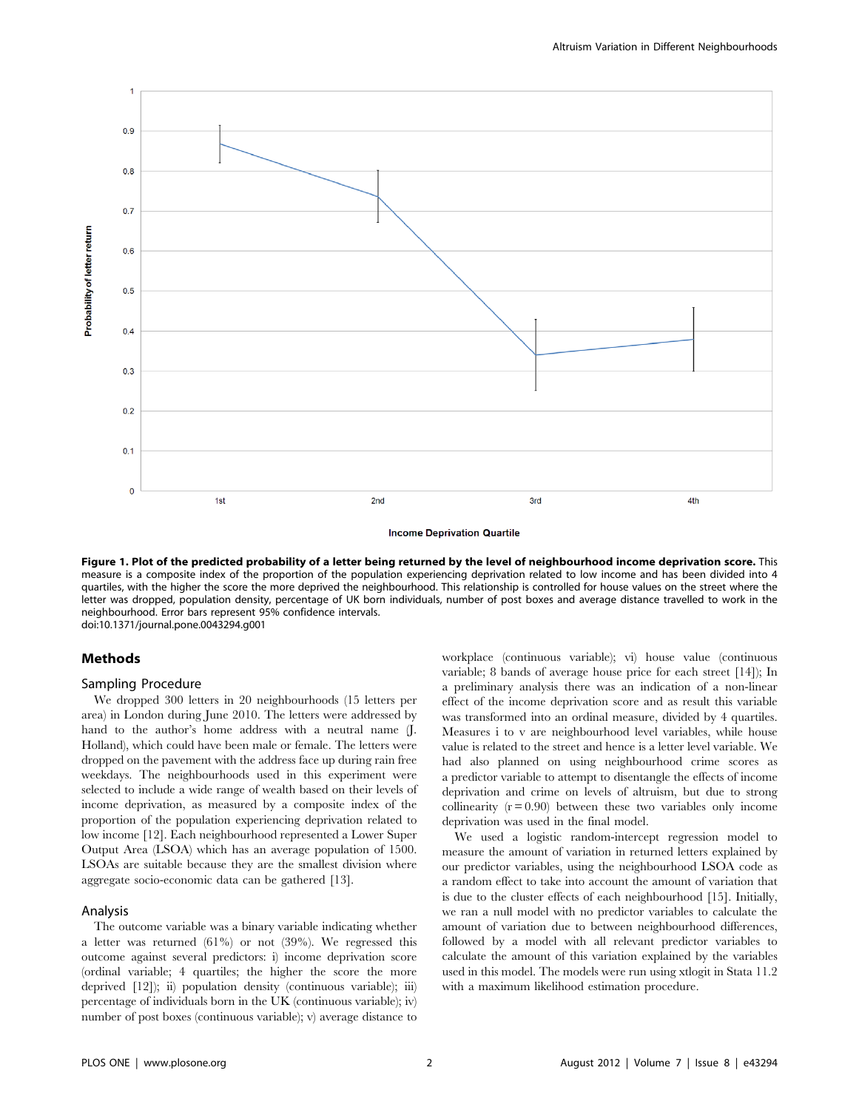

**Income Deprivation Quartile** 

Figure 1. Plot of the predicted probability of a letter being returned by the level of neighbourhood income deprivation score. This measure is a composite index of the proportion of the population experiencing deprivation related to low income and has been divided into 4 quartiles, with the higher the score the more deprived the neighbourhood. This relationship is controlled for house values on the street where the letter was dropped, population density, percentage of UK born individuals, number of post boxes and average distance travelled to work in the neighbourhood. Error bars represent 95% confidence intervals. doi:10.1371/journal.pone.0043294.g001

#### Methods

#### Sampling Procedure

We dropped 300 letters in 20 neighbourhoods (15 letters per area) in London during June 2010. The letters were addressed by hand to the author's home address with a neutral name (J. Holland), which could have been male or female. The letters were dropped on the pavement with the address face up during rain free weekdays. The neighbourhoods used in this experiment were selected to include a wide range of wealth based on their levels of income deprivation, as measured by a composite index of the proportion of the population experiencing deprivation related to low income [12]. Each neighbourhood represented a Lower Super Output Area (LSOA) which has an average population of 1500. LSOAs are suitable because they are the smallest division where aggregate socio-economic data can be gathered [13].

# Analysis

The outcome variable was a binary variable indicating whether a letter was returned (61%) or not (39%). We regressed this outcome against several predictors: i) income deprivation score (ordinal variable; 4 quartiles; the higher the score the more deprived [12]); ii) population density (continuous variable); iii) percentage of individuals born in the UK (continuous variable); iv) number of post boxes (continuous variable); v) average distance to workplace (continuous variable); vi) house value (continuous variable; 8 bands of average house price for each street [14]); In a preliminary analysis there was an indication of a non-linear effect of the income deprivation score and as result this variable was transformed into an ordinal measure, divided by 4 quartiles. Measures i to v are neighbourhood level variables, while house value is related to the street and hence is a letter level variable. We had also planned on using neighbourhood crime scores as a predictor variable to attempt to disentangle the effects of income deprivation and crime on levels of altruism, but due to strong collinearity  $(r = 0.90)$  between these two variables only income deprivation was used in the final model.

We used a logistic random-intercept regression model to measure the amount of variation in returned letters explained by our predictor variables, using the neighbourhood LSOA code as a random effect to take into account the amount of variation that is due to the cluster effects of each neighbourhood [15]. Initially, we ran a null model with no predictor variables to calculate the amount of variation due to between neighbourhood differences, followed by a model with all relevant predictor variables to calculate the amount of this variation explained by the variables used in this model. The models were run using xtlogit in Stata 11.2 with a maximum likelihood estimation procedure.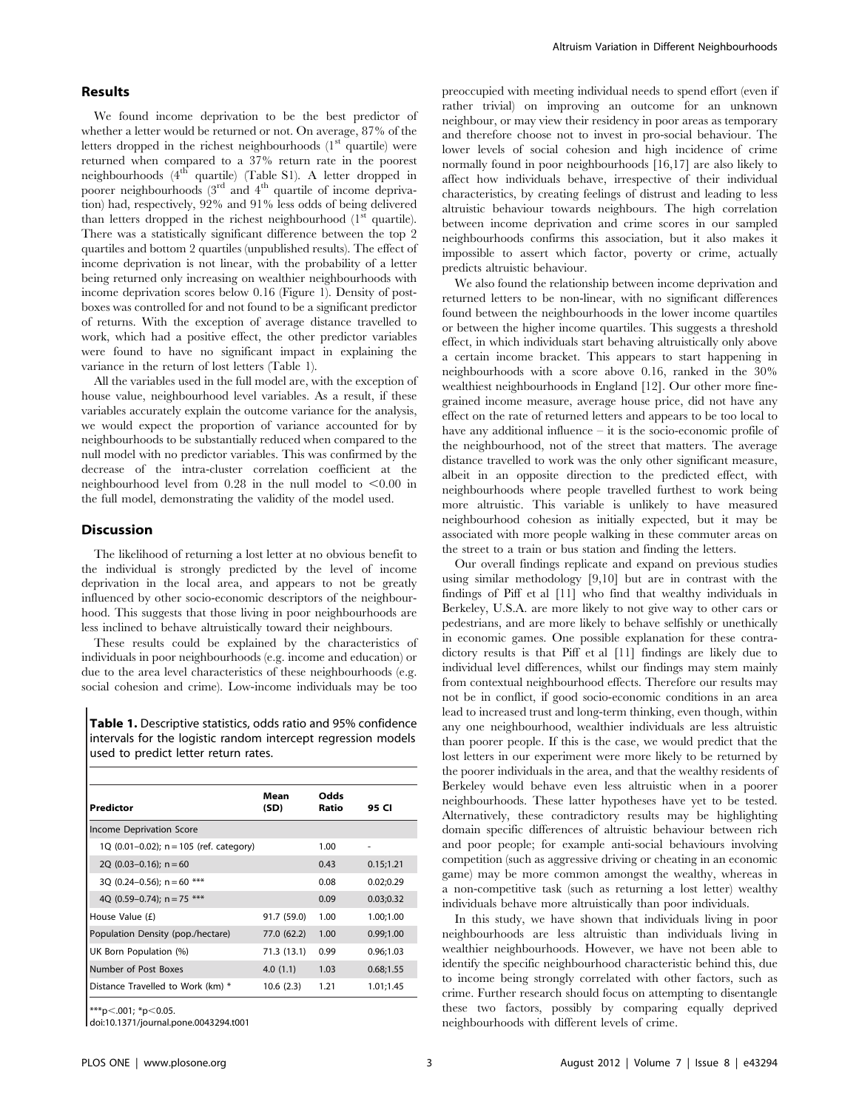#### Results

We found income deprivation to be the best predictor of whether a letter would be returned or not. On average, 87% of the letters dropped in the richest neighbourhoods  $(1<sup>st</sup>$  quartile) were returned when compared to a 37% return rate in the poorest neighbourhoods (4<sup>th</sup> quartile) (Table S1). A letter dropped in poorer neighbourhoods  $(3^{rd}$  and  $4^{th}$  quartile of income deprivation) had, respectively, 92% and 91% less odds of being delivered than letters dropped in the richest neighbourhood  $(1<sup>st</sup>$  quartile). There was a statistically significant difference between the top 2 quartiles and bottom 2 quartiles (unpublished results). The effect of income deprivation is not linear, with the probability of a letter being returned only increasing on wealthier neighbourhoods with income deprivation scores below 0.16 (Figure 1). Density of postboxes was controlled for and not found to be a significant predictor of returns. With the exception of average distance travelled to work, which had a positive effect, the other predictor variables were found to have no significant impact in explaining the variance in the return of lost letters (Table 1).

All the variables used in the full model are, with the exception of house value, neighbourhood level variables. As a result, if these variables accurately explain the outcome variance for the analysis, we would expect the proportion of variance accounted for by neighbourhoods to be substantially reduced when compared to the null model with no predictor variables. This was confirmed by the decrease of the intra-cluster correlation coefficient at the neighbourhood level from  $0.28$  in the null model to  $\leq 0.00$  in the full model, demonstrating the validity of the model used.

#### Discussion

The likelihood of returning a lost letter at no obvious benefit to the individual is strongly predicted by the level of income deprivation in the local area, and appears to not be greatly influenced by other socio-economic descriptors of the neighbourhood. This suggests that those living in poor neighbourhoods are less inclined to behave altruistically toward their neighbours.

These results could be explained by the characteristics of individuals in poor neighbourhoods (e.g. income and education) or due to the area level characteristics of these neighbourhoods (e.g. social cohesion and crime). Low-income individuals may be too

Table 1. Descriptive statistics, odds ratio and 95% confidence intervals for the logistic random intercept regression models used to predict letter return rates.

| Predictor                               | Mean<br>(SD) | Odds<br>Ratio | 95 CI      |
|-----------------------------------------|--------------|---------------|------------|
| Income Deprivation Score                |              |               |            |
| 1Q (0.01-0.02); n = 105 (ref. category) |              | 1.00          | ٠          |
| 2Q $(0.03-0.16)$ ; n = 60               |              | 0.43          | 0.15; 1.21 |
| 30 (0.24–0.56): $n = 60$ ***            |              | 0.08          | 0.02;0.29  |
| 40 (0.59–0.74): $n = 75$ ***            |              | 0.09          | 0.03;0.32  |
| House Value (£)                         | 91.7 (59.0)  | 1.00          | 1.00:1.00  |
| Population Density (pop./hectare)       | 77.0 (62.2)  | 1.00          | 0.99;1.00  |
| UK Born Population (%)                  | 71.3 (13.1)  | 0.99          | 0.96:1.03  |
| Number of Post Boxes                    | 4.0(1.1)     | 1.03          | 0.68;1.55  |
| Distance Travelled to Work (km) *       | 10.6(2.3)    | 1.21          | 1.01;1.45  |

 $***p<.001; *p<0.05$ .

doi:10.1371/journal.pone.0043294.t001

preoccupied with meeting individual needs to spend effort (even if rather trivial) on improving an outcome for an unknown neighbour, or may view their residency in poor areas as temporary and therefore choose not to invest in pro-social behaviour. The lower levels of social cohesion and high incidence of crime normally found in poor neighbourhoods [16,17] are also likely to affect how individuals behave, irrespective of their individual characteristics, by creating feelings of distrust and leading to less altruistic behaviour towards neighbours. The high correlation between income deprivation and crime scores in our sampled neighbourhoods confirms this association, but it also makes it impossible to assert which factor, poverty or crime, actually predicts altruistic behaviour.

We also found the relationship between income deprivation and returned letters to be non-linear, with no significant differences found between the neighbourhoods in the lower income quartiles or between the higher income quartiles. This suggests a threshold effect, in which individuals start behaving altruistically only above a certain income bracket. This appears to start happening in neighbourhoods with a score above 0.16, ranked in the 30% wealthiest neighbourhoods in England [12]. Our other more finegrained income measure, average house price, did not have any effect on the rate of returned letters and appears to be too local to have any additional influence – it is the socio-economic profile of the neighbourhood, not of the street that matters. The average distance travelled to work was the only other significant measure, albeit in an opposite direction to the predicted effect, with neighbourhoods where people travelled furthest to work being more altruistic. This variable is unlikely to have measured neighbourhood cohesion as initially expected, but it may be associated with more people walking in these commuter areas on the street to a train or bus station and finding the letters.

Our overall findings replicate and expand on previous studies using similar methodology [9,10] but are in contrast with the findings of Piff et al [11] who find that wealthy individuals in Berkeley, U.S.A. are more likely to not give way to other cars or pedestrians, and are more likely to behave selfishly or unethically in economic games. One possible explanation for these contradictory results is that Piff et al [11] findings are likely due to individual level differences, whilst our findings may stem mainly from contextual neighbourhood effects. Therefore our results may not be in conflict, if good socio-economic conditions in an area lead to increased trust and long-term thinking, even though, within any one neighbourhood, wealthier individuals are less altruistic than poorer people. If this is the case, we would predict that the lost letters in our experiment were more likely to be returned by the poorer individuals in the area, and that the wealthy residents of Berkeley would behave even less altruistic when in a poorer neighbourhoods. These latter hypotheses have yet to be tested. Alternatively, these contradictory results may be highlighting domain specific differences of altruistic behaviour between rich and poor people; for example anti-social behaviours involving competition (such as aggressive driving or cheating in an economic game) may be more common amongst the wealthy, whereas in a non-competitive task (such as returning a lost letter) wealthy individuals behave more altruistically than poor individuals.

In this study, we have shown that individuals living in poor neighbourhoods are less altruistic than individuals living in wealthier neighbourhoods. However, we have not been able to identify the specific neighbourhood characteristic behind this, due to income being strongly correlated with other factors, such as crime. Further research should focus on attempting to disentangle these two factors, possibly by comparing equally deprived neighbourhoods with different levels of crime.